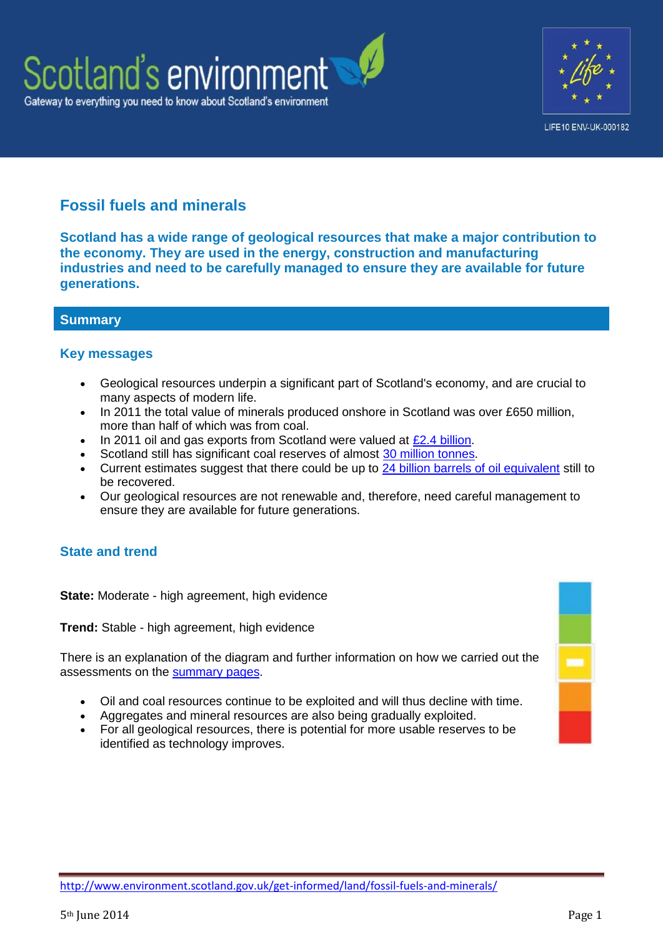



# **Fossil fuels and minerals**

**Scotland has a wide range of geological resources that make a major contribution to the economy. They are used in the energy, construction and manufacturing industries and need to be carefully managed to ensure they are available for future generations.**

# **Summary**

#### **Key messages**

- Geological resources underpin a significant part of Scotland's economy, and are crucial to many aspects of modern life.
- In 2011 the total value of minerals produced onshore in Scotland was over £650 million, more than half of which was from coal.
- $\cdot$  In 2011 oil and gas exports from Scotland were valued at [£2.4 billion.](http://www.scottish-enterprise.com/~/media/SE_2013/Knowledge%20Hub/Insight/oil%20and%20gas/2011%202012%20Oil%20Gas%20International%20Activity%20Survey.pdf)
- Scotland still has significant coal reserves of almost [30 million tonnes.](http://www.scotland.gov.uk/Topics/Business-Industry/Energy/Energy-sources/traditional-fuels/coal)
- Current estimates suggest that there could be up to [24 billion barrels of oil equivalent](http://www.oilandgasuk.co.uk/cmsfiles/modules/publications/pdfs/EC038.pdf) still to be recovered.
- Our geological resources are not renewable and, therefore, need careful management to ensure they are available for future generations.

# **State and trend**

**State:** Moderate - high agreement, high evidence

**Trend:** Stable - high agreement, high evidence

There is an explanation of the diagram and further information on how we carried out the assessments on the [summary pages.](http://www.environment.scotland.gov.uk/get-informed/state-of-the-environment-summary/state-and-trend-assessments/)

- Oil and coal resources continue to be exploited and will thus decline with time.
- Aggregates and mineral resources are also being gradually exploited.
- For all geological resources, there is potential for more usable reserves to be identified as technology improves.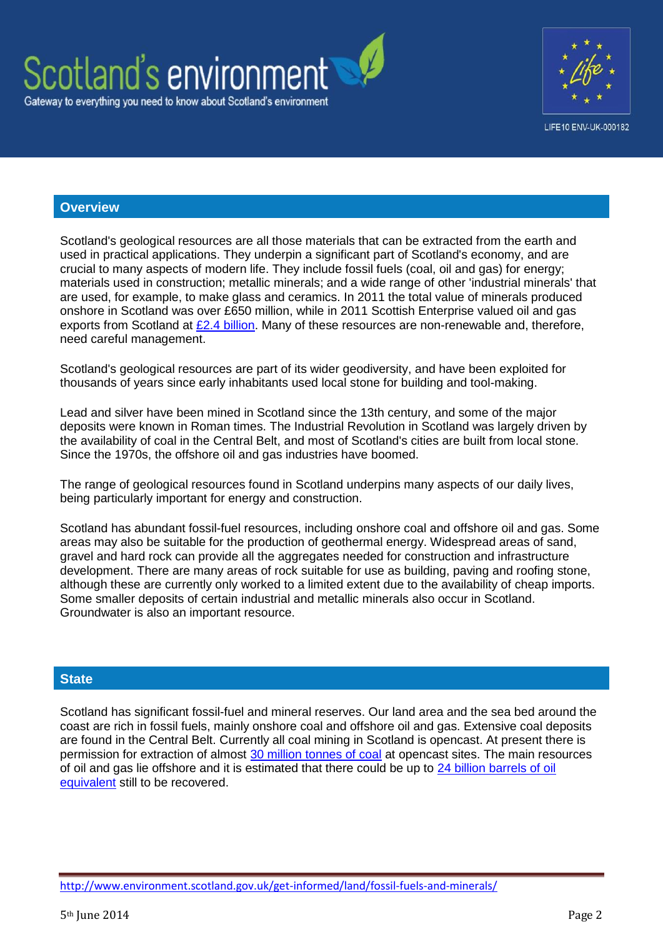



#### **Overview**

Scotland's geological resources are all those materials that can be extracted from the earth and used in practical applications. They underpin a significant part of Scotland's economy, and are crucial to many aspects of modern life. They include fossil fuels (coal, oil and gas) for energy; materials used in construction; metallic minerals; and a wide range of other 'industrial minerals' that are used, for example, to make glass and ceramics. In 2011 the total value of minerals produced onshore in Scotland was over £650 million, while in 2011 Scottish Enterprise valued oil and gas exports from Scotland at [£2.4 billion.](http://www.scottish-enterprise.com/~/media/SE_2013/Knowledge%20Hub/Insight/oil%20and%20gas/2011%202012%20Oil%20Gas%20International%20Activity%20Survey.pdf) Many of these resources are non-renewable and, therefore, need careful management.

Scotland's geological resources are part of its wider geodiversity, and have been exploited for thousands of years since early inhabitants used local stone for building and tool-making.

Lead and silver have been mined in Scotland since the 13th century, and some of the major deposits were known in Roman times. The Industrial Revolution in Scotland was largely driven by the availability of coal in the Central Belt, and most of Scotland's cities are built from local stone. Since the 1970s, the offshore oil and gas industries have boomed.

The range of geological resources found in Scotland underpins many aspects of our daily lives, being particularly important for energy and construction.

Scotland has abundant fossil-fuel resources, including onshore coal and offshore oil and gas. Some areas may also be suitable for the production of geothermal energy. Widespread areas of sand, gravel and hard rock can provide all the aggregates needed for construction and infrastructure development. There are many areas of rock suitable for use as building, paving and roofing stone, although these are currently only worked to a limited extent due to the availability of cheap imports. Some smaller deposits of certain industrial and metallic minerals also occur in Scotland. Groundwater is also an important resource.

#### **State**

Scotland has significant fossil-fuel and mineral reserves. Our land area and the sea bed around the coast are rich in fossil fuels, mainly onshore coal and offshore oil and gas. Extensive coal deposits are found in the Central Belt. Currently all coal mining in Scotland is opencast. At present there is permission for extraction of almost [30 million tonnes of coal](http://www.scotland.gov.uk/Topics/Business-Industry/Energy/Energy-sources/traditional-fuels/coal) at opencast sites. The main resources of oil and gas lie offshore and it is estimated that there could be up to [24 billion barrels of oil](http://www.oilandgasuk.co.uk/cmsfiles/modules/publications/pdfs/EC038.pdf)  [equivalent](http://www.oilandgasuk.co.uk/cmsfiles/modules/publications/pdfs/EC038.pdf) still to be recovered.

<http://www.environment.scotland.gov.uk/get-informed/land/fossil-fuels-and-minerals/>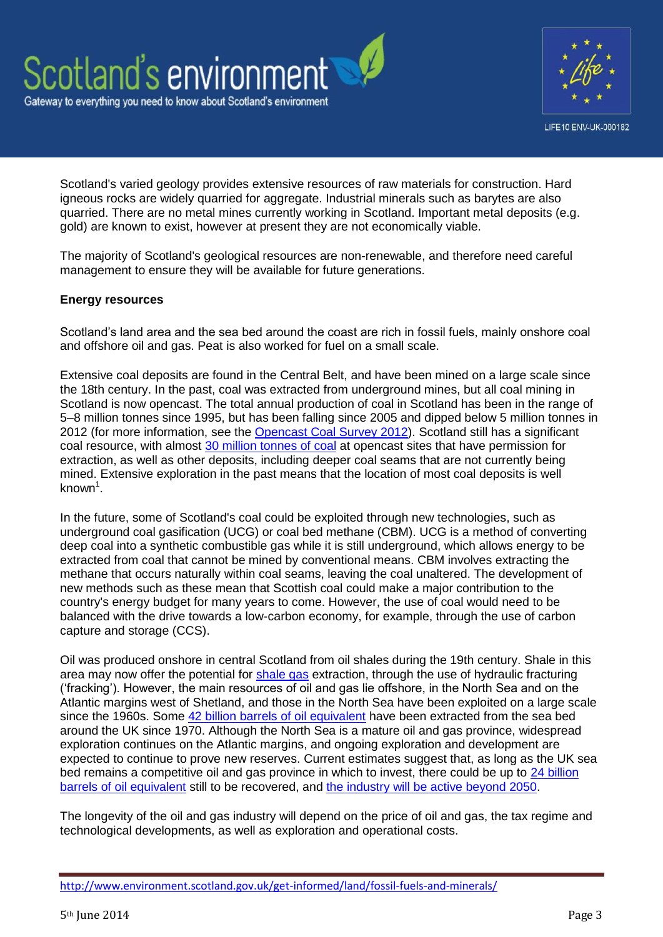



Scotland's varied geology provides extensive resources of raw materials for construction. Hard igneous rocks are widely quarried for aggregate. Industrial minerals such as barytes are also quarried. There are no metal mines currently working in Scotland. Important metal deposits (e.g. gold) are known to exist, however at present they are not economically viable.

The majority of Scotland's geological resources are non-renewable, and therefore need careful management to ensure they will be available for future generations.

#### **Energy resources**

Scotland's land area and the sea bed around the coast are rich in fossil fuels, mainly onshore coal and offshore oil and gas. Peat is also worked for fuel on a small scale.

Extensive coal deposits are found in the Central Belt, and have been mined on a large scale since the 18th century. In the past, coal was extracted from underground mines, but all coal mining in Scotland is now opencast. The total annual production of coal in Scotland has been in the range of 5–8 million tonnes since 1995, but has been falling since 2005 and dipped below 5 million tonnes in 2012 (for more information, see the [Opencast Coal Survey 2012\)](http://www.bgs.ac.uk/mineralsuk/mines/coal/occ/home.html). Scotland still has a significant coal resource, with almost [30 million tonnes of coal](http://www.scotland.gov.uk/Topics/Business-Industry/Energy/Energy-sources/traditional-fuels/coal) at opencast sites that have permission for extraction, as well as other deposits, including deeper coal seams that are not currently being mined. Extensive exploration in the past means that the location of most coal deposits is well known<sup>1</sup>.

In the future, some of Scotland's coal could be exploited through new technologies, such as underground coal gasification (UCG) or coal bed methane (CBM). UCG is a method of converting deep coal into a synthetic combustible gas while it is still underground, which allows energy to be extracted from coal that cannot be mined by conventional means. CBM involves extracting the methane that occurs naturally within coal seams, leaving the coal unaltered. The development of new methods such as these mean that Scottish coal could make a major contribution to the country's energy budget for many years to come. However, the use of coal would need to be balanced with the drive towards a low-carbon economy, for example, through the use of carbon capture and storage (CCS).

Oil was produced onshore in central Scotland from oil shales during the 19th century. Shale in this area may now offer the potential for [shale gas](http://www.bgs.ac.uk/research/energy/shaleGas/home.html#ad-image-0) extraction, through the use of hydraulic fracturing ('fracking'). However, the main resources of oil and gas lie offshore, in the North Sea and on the Atlantic margins west of Shetland, and those in the North Sea have been exploited on a large scale since the 1960s. Some [42 billion barrels of oil equivalent](http://www.oilandgasuk.co.uk/cmsfiles/modules/publications/pdfs/EC038.pdf) have been extracted from the sea bed around the UK since 1970. Although the North Sea is a mature oil and gas province, widespread exploration continues on the Atlantic margins, and ongoing exploration and development are expected to continue to prove new reserves. Current estimates suggest that, as long as the UK sea bed remains a competitive oil and gas province in which to invest, there could be up to [24 billion](http://www.oilandgasuk.co.uk/cmsfiles/modules/publications/pdfs/EC038.pdf)  [barrels of oil equivalent](http://www.oilandgasuk.co.uk/cmsfiles/modules/publications/pdfs/EC038.pdf) still to be recovered, and the industry will [be active beyond 2050.](http://www.oilandgasuk.co.uk/cmsfiles/modules/publications/pdfs/EC038.pdf)

The longevity of the oil and gas industry will depend on the price of oil and gas, the tax regime and technological developments, as well as exploration and operational costs.

<http://www.environment.scotland.gov.uk/get-informed/land/fossil-fuels-and-minerals/>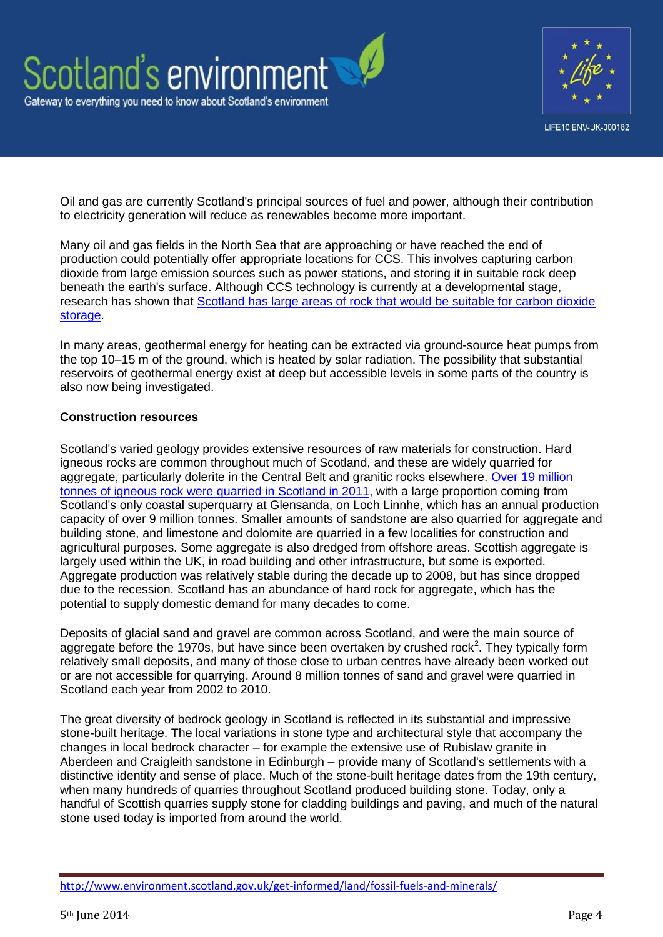

Oil and gas are currently Scotland's principal sources of fuel and power, although their contribution to electricity generation will reduce as renewables become more important.

Many oil and gas fields in the North Sea that are approaching or have reached the end of production could potentially offer appropriate locations for CCS. This involves capturing carbon dioxide from large emission sources such as power stations, and storing it in suitable rock deep beneath the earth's surface. Although CCS technology is currently at a developmental stage, research has shown that [Scotland has large areas of rock that would be suitable for carbon dioxide](http://www.scotland.gov.uk/Resource/Doc/270737/0080597.pdf)  storage

In many areas, geothermal energy for heating can be extracted via ground-source heat pumps from the top 10–15 m of the ground, which is heated by solar radiation. The possibility that substantial reservoirs of geothermal energy exist at deep but accessible levels in some parts of the country is also now being investigated.

#### **Construction resources**

Scotland's varied geology provides extensive resources of raw materials for construction. Hard igneous rocks are common throughout much of Scotland, and these are widely quarried for aggregate, particularly dolerite in the Central Belt and granitic rocks elsewhere. [Over 19 million](http://www.bgs.ac.uk/mineralsuk/statistics/UKStatistics.html)  [tonnes of igneous rock were quarried in Scotland in 2011,](http://www.bgs.ac.uk/mineralsuk/statistics/UKStatistics.html) with a large proportion coming from Scotland's only coastal superquarry at Glensanda, on Loch Linnhe, which has an annual production capacity of over 9 million tonnes. Smaller amounts of sandstone are also quarried for aggregate and building stone, and limestone and dolomite are quarried in a few localities for construction and agricultural purposes. Some aggregate is also dredged from offshore areas. Scottish aggregate is largely used within the UK, in road building and other infrastructure, but some is exported. Aggregate production was relatively stable during the decade up to 2008, but has since dropped due to the recession. Scotland has an abundance of hard rock for aggregate, which has the potential to supply domestic demand for many decades to come.

Deposits of glacial sand and gravel are common across Scotland, and were the main source of aggregate before the 1970s, but have since been overtaken by crushed rock<sup>2</sup>. They typically form relatively small deposits, and many of those close to urban centres have already been worked out or are not accessible for quarrying. Around 8 million tonnes of sand and gravel were quarried in Scotland each year from 2002 to 2010.

The great diversity of bedrock geology in Scotland is reflected in its substantial and impressive stone-built heritage. The local variations in stone type and architectural style that accompany the changes in local bedrock character – for example the extensive use of Rubislaw granite in Aberdeen and Craigleith sandstone in Edinburgh – provide many of Scotland's settlements with a distinctive identity and sense of place. Much of the stone-built heritage dates from the 19th century, when many hundreds of quarries throughout Scotland produced building stone. Today, only a handful of Scottish quarries supply stone for cladding buildings and paving, and much of the natural stone used today is imported from around the world.

<http://www.environment.scotland.gov.uk/get-informed/land/fossil-fuels-and-minerals/>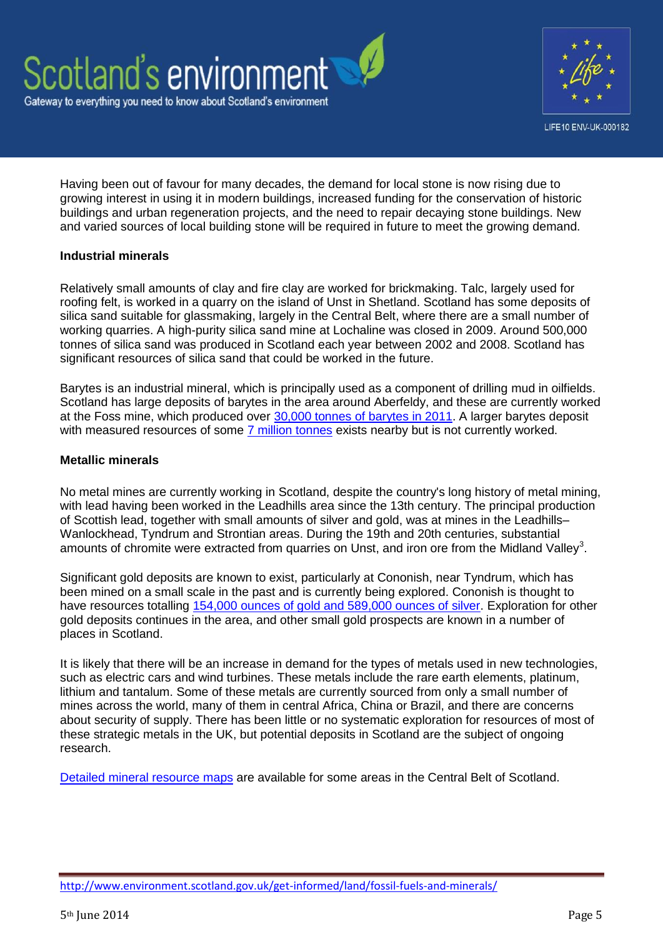



Having been out of favour for many decades, the demand for local stone is now rising due to growing interest in using it in modern buildings, increased funding for the conservation of historic buildings and urban regeneration projects, and the need to repair decaying stone buildings. New and varied sources of local building stone will be required in future to meet the growing demand.

#### **Industrial minerals**

Relatively small amounts of clay and fire clay are worked for brickmaking. Talc, largely used for roofing felt, is worked in a quarry on the island of Unst in Shetland. Scotland has some deposits of silica sand suitable for glassmaking, largely in the Central Belt, where there are a small number of working quarries. A high-purity silica sand mine at Lochaline was closed in 2009. Around 500,000 tonnes of silica sand was produced in Scotland each year between 2002 and 2008. Scotland has significant resources of silica sand that could be worked in the future.

Barytes is an industrial mineral, which is principally used as a component of drilling mud in oilfields. Scotland has large deposits of barytes in the area around Aberfeldy, and these are currently worked at the Foss mine, which produced over [30,000 tonnes of barytes in 2011.](http://www.bgs.ac.uk/mineralsuk/statistics/UKStatistics.html) A larger barytes deposit with measured resources of some [7 million tonnes](http://www.bgs.ac.uk/mineralsuk/statistics/mineralProfiles.html) exists nearby but is not currently worked.

#### **Metallic minerals**

No metal mines are currently working in Scotland, despite the country's long history of metal mining, with lead having been worked in the Leadhills area since the 13th century. The principal production of Scottish lead, together with small amounts of silver and gold, was at mines in the Leadhills– Wanlockhead, Tyndrum and Strontian areas. During the 19th and 20th centuries, substantial amounts of chromite were extracted from quarries on Unst, and iron ore from the Midland Valley<sup>3</sup>.

Significant gold deposits are known to exist, particularly at Cononish, near Tyndrum, which has been mined on a small scale in the past and is currently being explored. Cononish is thought to have resources totalling [154,000 ounces of gold and 589,000 ounces of silver.](http://www.scotgoldresources.com.au/projects/cononish-gold-and-silver-project/) Exploration for other gold deposits continues in the area, and other small gold prospects are known in a number of places in Scotland.

It is likely that there will be an increase in demand for the types of metals used in new technologies, such as electric cars and wind turbines. These metals include the rare earth elements, platinum, lithium and tantalum. Some of these metals are currently sourced from only a small number of mines across the world, many of them in central Africa, China or Brazil, and there are concerns about security of supply. There has been little or no systematic exploration for resources of most of these strategic metals in the UK, but potential deposits in Scotland are the subject of ongoing research.

[Detailed mineral resource maps](http://www.scotland.gov.uk/Publications/2008/05/27155411/0) are available for some areas in the Central Belt of Scotland.

<http://www.environment.scotland.gov.uk/get-informed/land/fossil-fuels-and-minerals/>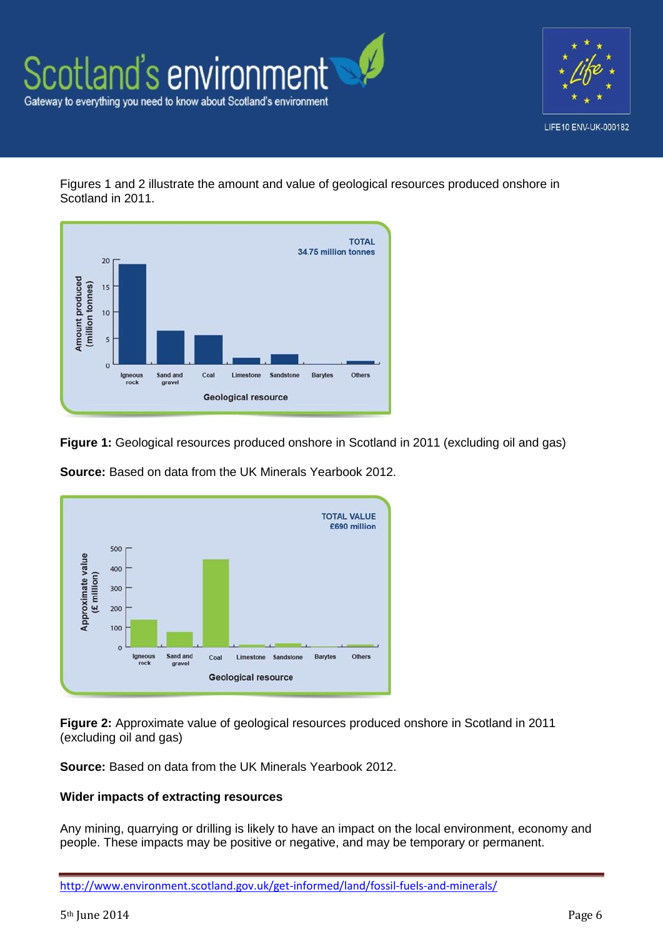



Figures 1 and 2 illustrate the amount and value of geological resources produced onshore in Scotland in 2011.



**Figure 1:** Geological resources produced onshore in Scotland in 2011 (excluding oil and gas)



**Source:** Based on data from the UK Minerals Yearbook 2012.

**Figure 2:** Approximate value of geological resources produced onshore in Scotland in 2011 (excluding oil and gas)

**Source:** Based on data from the UK Minerals Yearbook 2012.

#### **Wider impacts of extracting resources**

Any mining, quarrying or drilling is likely to have an impact on the local environment, economy and people. These impacts may be positive or negative, and may be temporary or permanent.

<http://www.environment.scotland.gov.uk/get-informed/land/fossil-fuels-and-minerals/>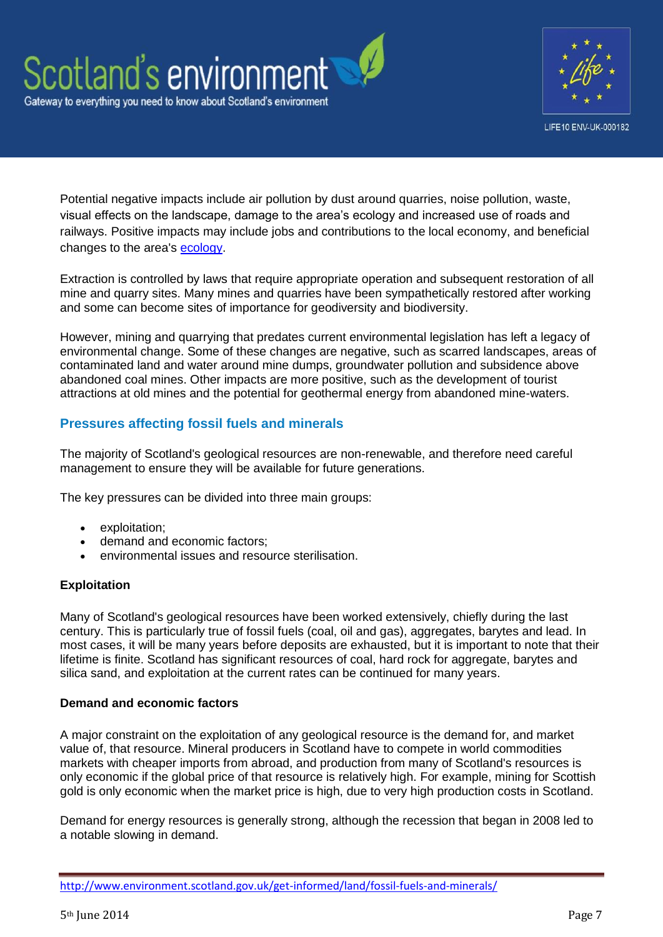



Potential negative impacts include air pollution by dust around quarries, noise pollution, waste, visual effects on the landscape, damage to the area's ecology and increased use of roads and railways. Positive impacts may include jobs and contributions to the local economy, and beneficial changes to the area's [ecology.](http://afterminerals.com/)

Extraction is controlled by laws that require appropriate operation and subsequent restoration of all mine and quarry sites. Many mines and quarries have been sympathetically restored after working and some can become sites of importance for geodiversity and biodiversity.

However, mining and quarrying that predates current environmental legislation has left a legacy of environmental change. Some of these changes are negative, such as scarred landscapes, areas of contaminated land and water around mine dumps, groundwater pollution and subsidence above abandoned coal mines. Other impacts are more positive, such as the development of tourist attractions at old mines and the potential for geothermal energy from abandoned mine-waters.

# **Pressures affecting fossil fuels and minerals**

The majority of Scotland's geological resources are non-renewable, and therefore need careful management to ensure they will be available for future generations.

The key pressures can be divided into three main groups:

- exploitation;
- demand and economic factors;
- environmental issues and resource sterilisation.

# **Exploitation**

Many of Scotland's geological resources have been worked extensively, chiefly during the last century. This is particularly true of fossil fuels (coal, oil and gas), aggregates, barytes and lead. In most cases, it will be many years before deposits are exhausted, but it is important to note that their lifetime is finite. Scotland has significant resources of coal, hard rock for aggregate, barytes and silica sand, and exploitation at the current rates can be continued for many years.

# **Demand and economic factors**

A major constraint on the exploitation of any geological resource is the demand for, and market value of, that resource. Mineral producers in Scotland have to compete in world commodities markets with cheaper imports from abroad, and production from many of Scotland's resources is only economic if the global price of that resource is relatively high. For example, mining for Scottish gold is only economic when the market price is high, due to very high production costs in Scotland.

Demand for energy resources is generally strong, although the recession that began in 2008 led to a notable slowing in demand.

<http://www.environment.scotland.gov.uk/get-informed/land/fossil-fuels-and-minerals/>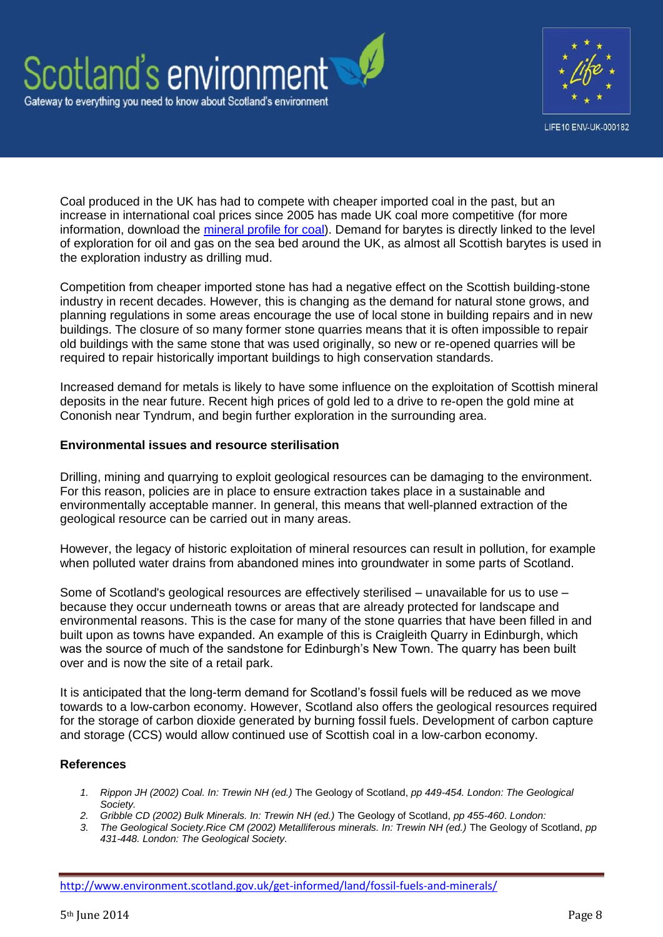



Coal produced in the UK has had to compete with cheaper imported coal in the past, but an increase in international coal prices since 2005 has made UK coal more competitive (for more information, download the [mineral profile for coal\)](http://www.bgs.ac.uk/mineralsuk/statistics/mineralProfiles.html). Demand for barytes is directly linked to the level of exploration for oil and gas on the sea bed around the UK, as almost all Scottish barytes is used in the exploration industry as drilling mud.

Competition from cheaper imported stone has had a negative effect on the Scottish building-stone industry in recent decades. However, this is changing as the demand for natural stone grows, and planning regulations in some areas encourage the use of local stone in building repairs and in new buildings. The closure of so many former stone quarries means that it is often impossible to repair old buildings with the same stone that was used originally, so new or re-opened quarries will be required to repair historically important buildings to high conservation standards.

Increased demand for metals is likely to have some influence on the exploitation of Scottish mineral deposits in the near future. Recent high prices of gold led to a drive to re-open the gold mine at Cononish near Tyndrum, and begin further exploration in the surrounding area.

#### **Environmental issues and resource sterilisation**

Drilling, mining and quarrying to exploit geological resources can be damaging to the environment. For this reason, policies are in place to ensure extraction takes place in a sustainable and environmentally acceptable manner. In general, this means that well-planned extraction of the geological resource can be carried out in many areas.

However, the legacy of historic exploitation of mineral resources can result in pollution, for example when polluted water drains from abandoned mines into groundwater in some parts of Scotland.

Some of Scotland's geological resources are effectively sterilised – unavailable for us to use – because they occur underneath towns or areas that are already protected for landscape and environmental reasons. This is the case for many of the stone quarries that have been filled in and built upon as towns have expanded. An example of this is Craigleith Quarry in Edinburgh, which was the source of much of the sandstone for Edinburgh's New Town. The quarry has been built over and is now the site of a retail park.

It is anticipated that the long-term demand for Scotland's fossil fuels will be reduced as we move towards to a low-carbon economy. However, Scotland also offers the geological resources required for the storage of carbon dioxide generated by burning fossil fuels. Development of carbon capture and storage (CCS) would allow continued use of Scottish coal in a low-carbon economy.

# **References**

- *1. Rippon JH (2002) Coal. In: Trewin NH (ed.)* The Geology of Scotland, *pp 449-454. London: The Geological Society.*
- *2. Gribble CD (2002) Bulk Minerals. In: Trewin NH (ed.)* The Geology of Scotland, *pp 455-460*. *London:*
- *3. The Geological Society.Rice CM (2002) Metalliferous minerals. In: Trewin NH (ed.)* The Geology of Scotland, *pp 431-448. London: The Geological Society.*

<http://www.environment.scotland.gov.uk/get-informed/land/fossil-fuels-and-minerals/>